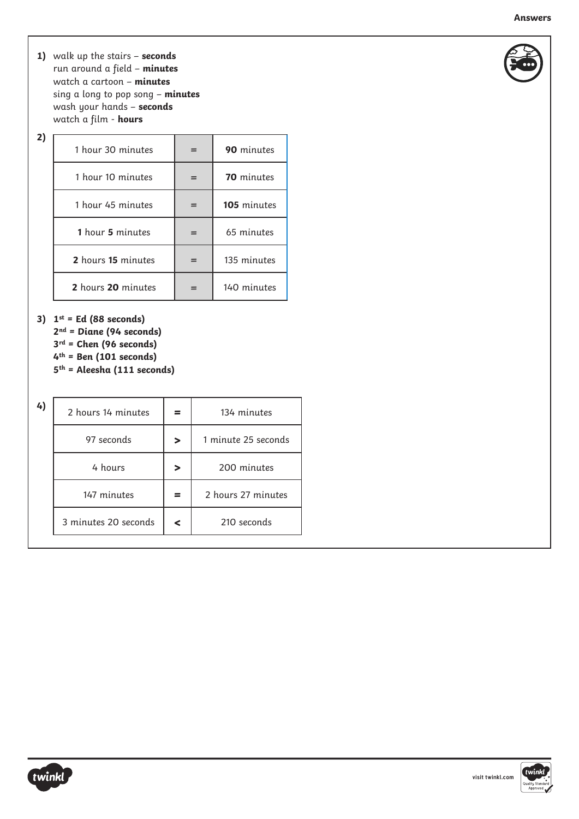- **1)**  walk up the stairs **seconds** run around a field – **minutes** watch a cartoon – **minutes** sing a long to pop song – **minutes** wash your hands – **seconds** watch a film - **hours**
- **2)**

| 1 hour 30 minutes              |  | 90 minutes        |  |
|--------------------------------|--|-------------------|--|
| 1 hour 10 minutes              |  | <b>70</b> minutes |  |
| 1 hour 45 minutes<br>$=$       |  | 105 minutes       |  |
| <b>1</b> hour <b>5</b> minutes |  | 65 minutes        |  |
| 2 hours 15 minutes             |  | 135 minutes       |  |
| 2 hours 20 minutes             |  | 140 minutes       |  |

**3) 1st = Ed (88 seconds)**

- **2nd = Diane (94 seconds)**
- **3rd = Chen (96 seconds)**
- **4th = Ben (101 seconds)**
- **5th = Aleesha (111 seconds)**

|            |                                                           | 134 minutes         |  |
|------------|-----------------------------------------------------------|---------------------|--|
| 97 seconds | $\geq$                                                    | 1 minute 25 seconds |  |
| 4 hours    | $\geq$                                                    | 200 minutes         |  |
|            |                                                           | 2 hours 27 minutes  |  |
|            | ⋖                                                         | 210 seconds         |  |
|            | 2 hours 14 minutes<br>147 minutes<br>3 minutes 20 seconds |                     |  |





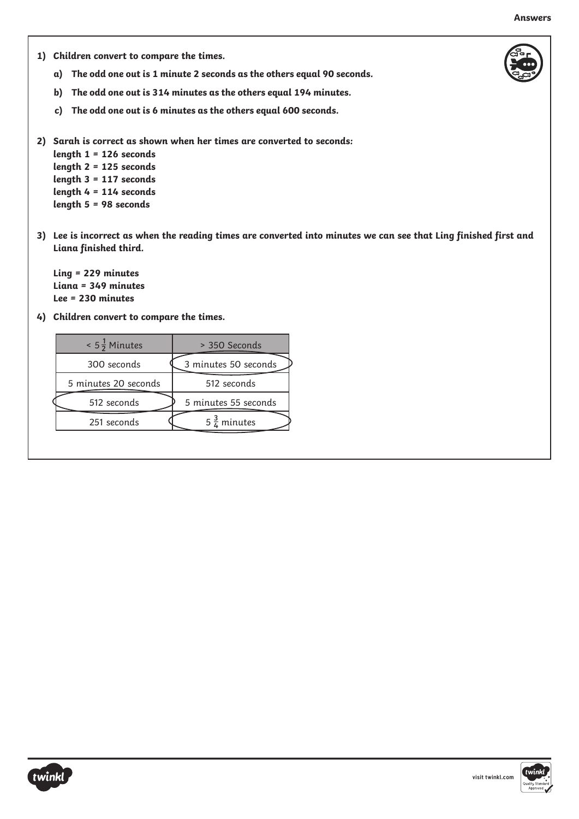- **1) Children convert to compare the times.**
	- **a) The odd one out is 1 minute 2 seconds as the others equal 90 seconds.**
	- **b) The odd one out is 314 minutes as the others equal 194 minutes.**
	- **c) The odd one out is 6 minutes as the others equal 600 seconds.**
- **2) Sarah is correct as shown when her times are converted to seconds:**
	- **length 1 = 126 seconds length 2 = 125 seconds length 3 = 117 seconds length 4 = 114 seconds length 5 = 98 seconds**
- 3) Lee is incorrect as when the reading times are converted into minutes we can see that Ling finished first and **Liana finished third.**

**Ling = 229 minutes Liana = 349 minutes Lee = 230 minutes**

**4) Children convert to compare the times.**

| $< 5\frac{1}{2}$ Minutes | > 350 Seconds          |  |
|--------------------------|------------------------|--|
| 300 seconds              | 3 minutes 50 seconds   |  |
| 5 minutes 20 seconds     | 512 seconds            |  |
| 512 seconds              | 5 minutes 55 seconds   |  |
| 251 seconds              | $5\frac{3}{4}$ minutes |  |
|                          |                        |  |